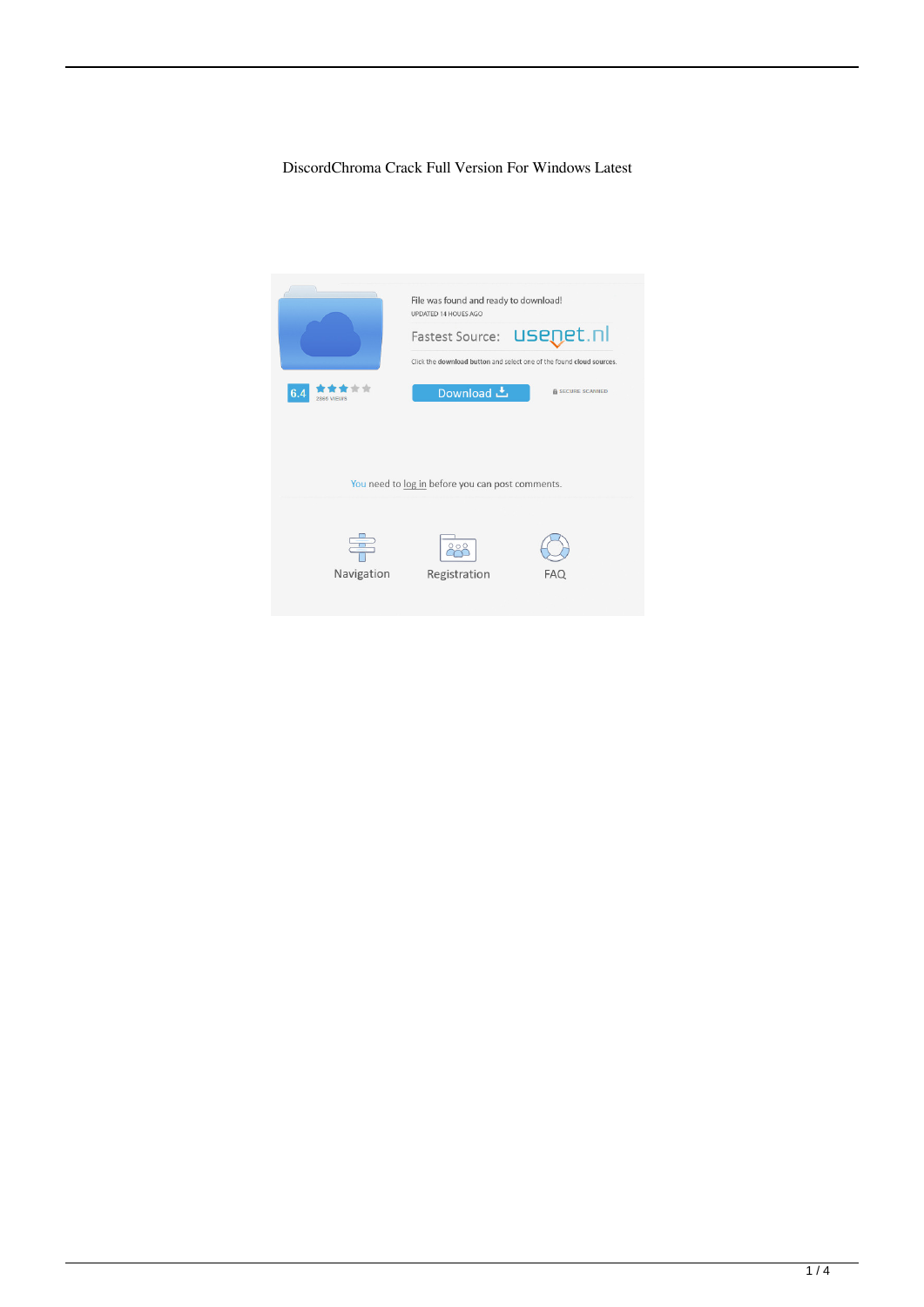#### DiscordChroma Crack Full Version For Windows Latest

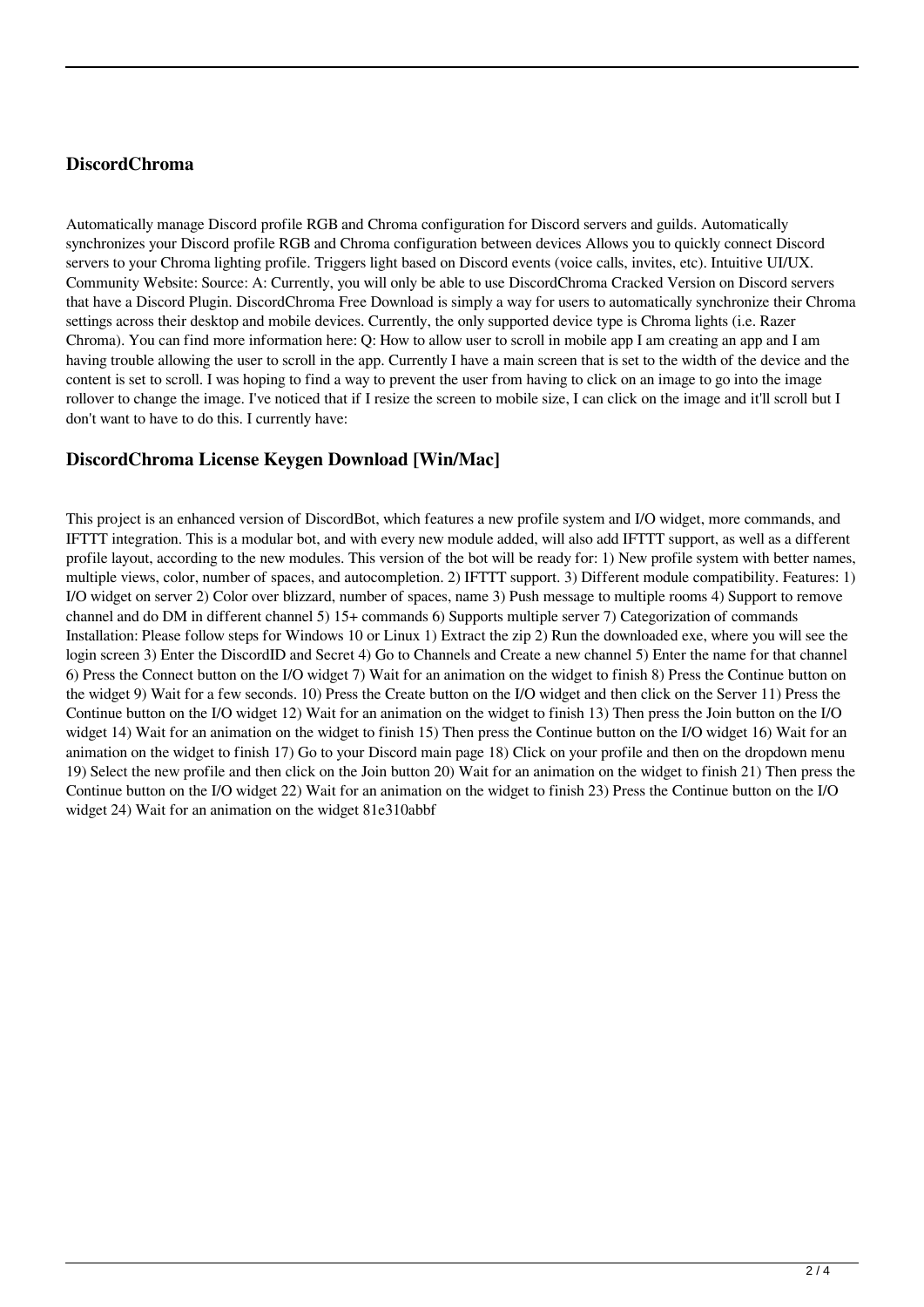## **DiscordChroma**

Automatically manage Discord profile RGB and Chroma configuration for Discord servers and guilds. Automatically synchronizes your Discord profile RGB and Chroma configuration between devices Allows you to quickly connect Discord servers to your Chroma lighting profile. Triggers light based on Discord events (voice calls, invites, etc). Intuitive UI/UX. Community Website: Source: A: Currently, you will only be able to use DiscordChroma Cracked Version on Discord servers that have a Discord Plugin. DiscordChroma Free Download is simply a way for users to automatically synchronize their Chroma settings across their desktop and mobile devices. Currently, the only supported device type is Chroma lights (i.e. Razer Chroma). You can find more information here: Q: How to allow user to scroll in mobile app I am creating an app and I am having trouble allowing the user to scroll in the app. Currently I have a main screen that is set to the width of the device and the content is set to scroll. I was hoping to find a way to prevent the user from having to click on an image to go into the image rollover to change the image. I've noticed that if I resize the screen to mobile size, I can click on the image and it'll scroll but I don't want to have to do this. I currently have:

## **DiscordChroma License Keygen Download [Win/Mac]**

This project is an enhanced version of DiscordBot, which features a new profile system and I/O widget, more commands, and IFTTT integration. This is a modular bot, and with every new module added, will also add IFTTT support, as well as a different profile layout, according to the new modules. This version of the bot will be ready for: 1) New profile system with better names, multiple views, color, number of spaces, and autocompletion. 2) IFTTT support. 3) Different module compatibility. Features: 1) I/O widget on server 2) Color over blizzard, number of spaces, name 3) Push message to multiple rooms 4) Support to remove channel and do DM in different channel 5) 15+ commands 6) Supports multiple server 7) Categorization of commands Installation: Please follow steps for Windows 10 or Linux 1) Extract the zip 2) Run the downloaded exe, where you will see the login screen 3) Enter the DiscordID and Secret 4) Go to Channels and Create a new channel 5) Enter the name for that channel 6) Press the Connect button on the I/O widget 7) Wait for an animation on the widget to finish 8) Press the Continue button on the widget 9) Wait for a few seconds. 10) Press the Create button on the I/O widget and then click on the Server 11) Press the Continue button on the I/O widget 12) Wait for an animation on the widget to finish 13) Then press the Join button on the I/O widget 14) Wait for an animation on the widget to finish 15) Then press the Continue button on the I/O widget 16) Wait for an animation on the widget to finish 17) Go to your Discord main page 18) Click on your profile and then on the dropdown menu 19) Select the new profile and then click on the Join button 20) Wait for an animation on the widget to finish 21) Then press the Continue button on the I/O widget 22) Wait for an animation on the widget to finish 23) Press the Continue button on the I/O widget 24) Wait for an animation on the widget 81e310abbf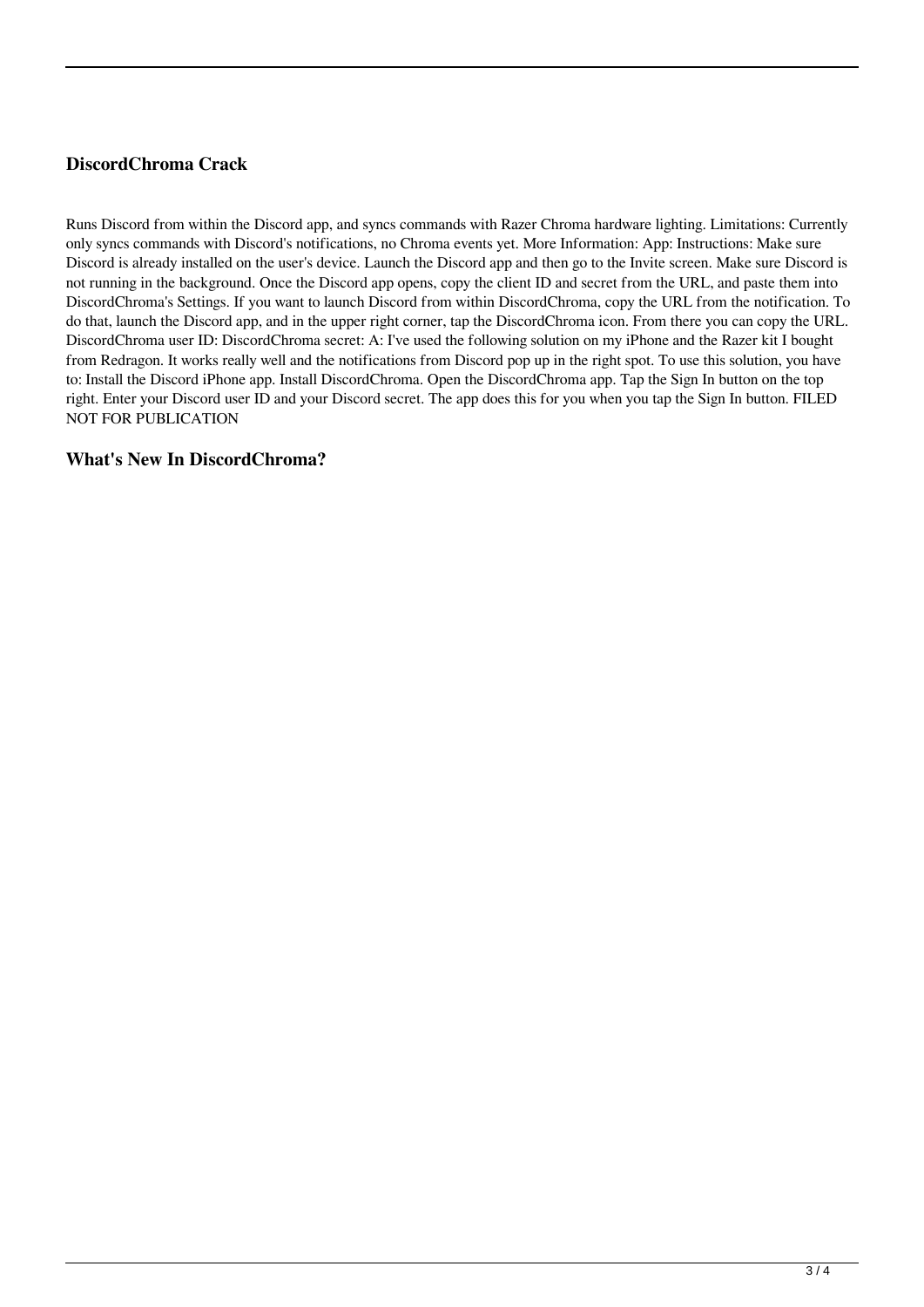# **DiscordChroma Crack**

Runs Discord from within the Discord app, and syncs commands with Razer Chroma hardware lighting. Limitations: Currently only syncs commands with Discord's notifications, no Chroma events yet. More Information: App: Instructions: Make sure Discord is already installed on the user's device. Launch the Discord app and then go to the Invite screen. Make sure Discord is not running in the background. Once the Discord app opens, copy the client ID and secret from the URL, and paste them into DiscordChroma's Settings. If you want to launch Discord from within DiscordChroma, copy the URL from the notification. To do that, launch the Discord app, and in the upper right corner, tap the DiscordChroma icon. From there you can copy the URL. DiscordChroma user ID: DiscordChroma secret: A: I've used the following solution on my iPhone and the Razer kit I bought from Redragon. It works really well and the notifications from Discord pop up in the right spot. To use this solution, you have to: Install the Discord iPhone app. Install DiscordChroma. Open the DiscordChroma app. Tap the Sign In button on the top right. Enter your Discord user ID and your Discord secret. The app does this for you when you tap the Sign In button. FILED NOT FOR PUBLICATION

#### **What's New In DiscordChroma?**